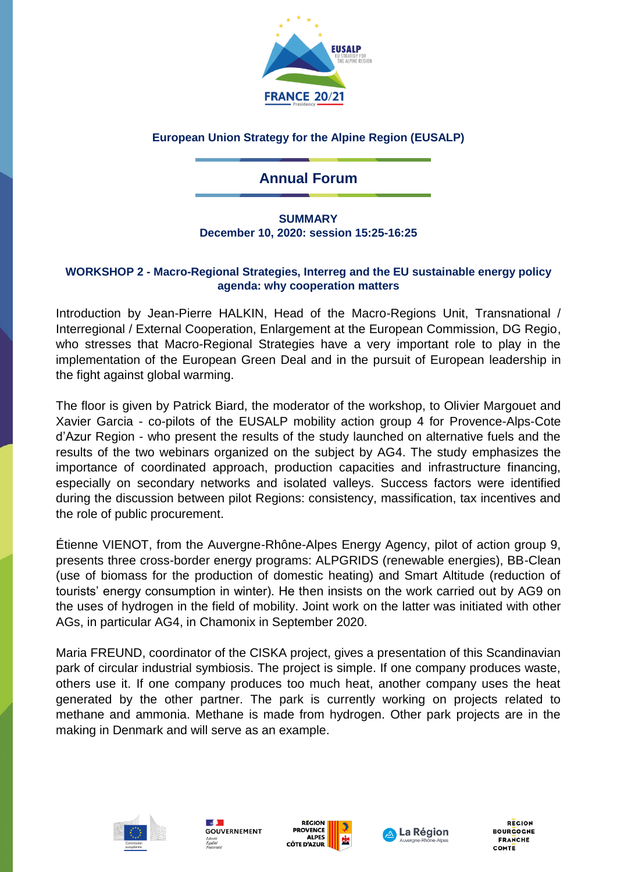

## **European Union Strategy for the Alpine Region (EUSALP)**

## **Annual Forum**

## **SUMMARY December 10, 2020: session 15:25-16:25**

## **WORKSHOP 2 - Macro-Regional Strategies, Interreg and the EU sustainable energy policy agenda: why cooperation matters**

Introduction by Jean-Pierre HALKIN, Head of the Macro-Regions Unit, Transnational / Interregional / External Cooperation, Enlargement at the European Commission, DG Regio, who stresses that Macro-Regional Strategies have a very important role to play in the implementation of the European Green Deal and in the pursuit of European leadership in the fight against global warming.

The floor is given by Patrick Biard, the moderator of the workshop, to Olivier Margouet and Xavier Garcia - co-pilots of the EUSALP mobility action group 4 for Provence-Alps-Cote d'Azur Region - who present the results of the study launched on alternative fuels and the results of the two webinars organized on the subject by AG4. The study emphasizes the importance of coordinated approach, production capacities and infrastructure financing, especially on secondary networks and isolated valleys. Success factors were identified during the discussion between pilot Regions: consistency, massification, tax incentives and the role of public procurement.

Étienne VIENOT, from the Auvergne-Rhône-Alpes Energy Agency, pilot of action group 9, presents three cross-border energy programs: ALPGRIDS (renewable energies), BB-Clean (use of biomass for the production of domestic heating) and Smart Altitude (reduction of tourists' energy consumption in winter). He then insists on the work carried out by AG9 on the uses of hydrogen in the field of mobility. Joint work on the latter was initiated with other AGs, in particular AG4, in Chamonix in September 2020.

Maria FREUND, coordinator of the CISKA project, gives a presentation of this Scandinavian park of circular industrial symbiosis. The project is simple. If one company produces waste, others use it. If one company produces too much heat, another company uses the heat generated by the other partner. The park is currently working on projects related to methane and ammonia. Methane is made from hydrogen. Other park projects are in the making in Denmark and will serve as an example.









**REGION BOURGOGNE FRANCHE** COMTE